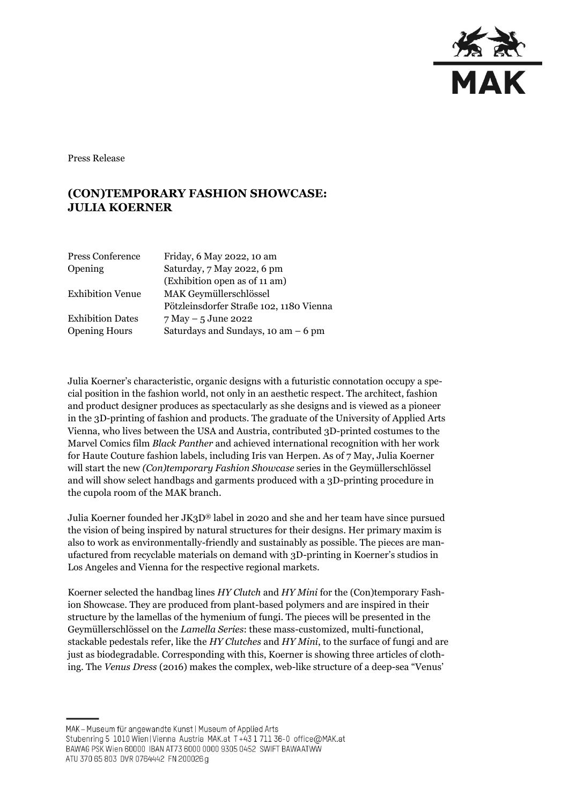

Press Release

## **(CON)TEMPORARY FASHION SHOWCASE: JULIA KOERNER**

| Friday, 6 May 2022, 10 am               |
|-----------------------------------------|
| Saturday, 7 May 2022, 6 pm              |
| (Exhibition open as of 11 am)           |
| MAK Geymüllerschlössel                  |
| Pötzleinsdorfer Straße 102, 1180 Vienna |
| $7$ May $-5$ June 2022                  |
| Saturdays and Sundays, 10 am $-6$ pm    |
|                                         |

Julia Koerner's characteristic, organic designs with a futuristic connotation occupy a special position in the fashion world, not only in an aesthetic respect. The architect, fashion and product designer produces as spectacularly as she designs and is viewed as a pioneer in the 3D-printing of fashion and products. The graduate of the University of Applied Arts Vienna, who lives between the USA and Austria, contributed 3D-printed costumes to the Marvel Comics film *Black Panther* and achieved international recognition with her work for Haute Couture fashion labels, including Iris van Herpen. As of 7 May, Julia Koerner will start the new *(Con)temporary Fashion Showcase* series in the Geymüllerschlössel and will show select handbags and garments produced with a 3D-printing procedure in the cupola room of the MAK branch.

Julia Koerner founded her JK3D® label in 2020 and she and her team have since pursued the vision of being inspired by natural structures for their designs. Her primary maxim is also to work as environmentally-friendly and sustainably as possible. The pieces are manufactured from recyclable materials on demand with 3D-printing in Koerner's studios in Los Angeles and Vienna for the respective regional markets.

Koerner selected the handbag lines *HY Clutch* and *HY Mini* for the (Con)temporary Fashion Showcase. They are produced from plant-based polymers and are inspired in their structure by the lamellas of the hymenium of fungi. The pieces will be presented in the Geymüllerschlössel on the *Lamella Series*: these mass-customized, multi-functional, stackable pedestals refer, like the *HY Clutches* and *HY Mini*, to the surface of fungi and are just as biodegradable. Corresponding with this, Koerner is showing three articles of clothing. The *Venus Dress* (2016) makes the complex, web-like structure of a deep-sea "Venus'

MAK - Museum für angewandte Kunst | Museum of Applied Arts

ATU 370 65 803 DVR 0764442 FN 200026 g

Stubenring 5 1010 Wien | Vienna Austria MAK.at T+43 1 711 36-0 office@MAK.at

BAWAG PSK Wien 60000 IBAN AT73 6000 0000 9305 0452 SWIFT BAWAATWW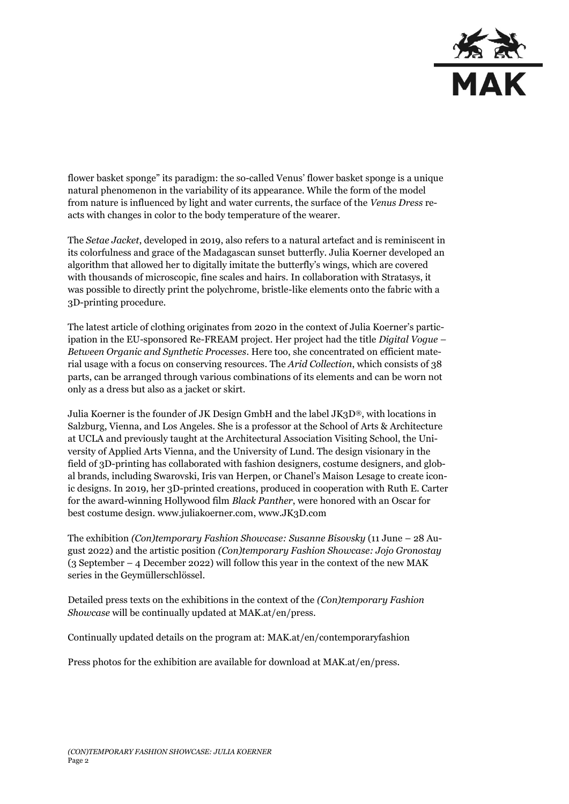

flower basket sponge" its paradigm: the so-called Venus' flower basket sponge is a unique natural phenomenon in the variability of its appearance. While the form of the model from nature is influenced by light and water currents, the surface of the *Venus Dress* reacts with changes in color to the body temperature of the wearer.

The *Setae Jacket*, developed in 2019, also refers to a natural artefact and is reminiscent in its colorfulness and grace of the Madagascan sunset butterfly. Julia Koerner developed an algorithm that allowed her to digitally imitate the butterfly's wings, which are covered with thousands of microscopic, fine scales and hairs. In collaboration with Stratasys, it was possible to directly print the polychrome, bristle-like elements onto the fabric with a 3D-printing procedure.

The latest article of clothing originates from 2020 in the context of Julia Koerner's participation in the EU-sponsored Re-FREAM project. Her project had the title *Digital Vogue – Between Organic and Synthetic Processes*. Here too, she concentrated on efficient material usage with a focus on conserving resources. The *Arid Collection*, which consists of 38 parts, can be arranged through various combinations of its elements and can be worn not only as a dress but also as a jacket or skirt.

Julia Koerner is the founder of JK Design GmbH and the label JK3D®, with locations in Salzburg, Vienna, and Los Angeles. She is a professor at the School of Arts & Architecture at UCLA and previously taught at the Architectural Association Visiting School, the University of Applied Arts Vienna, and the University of Lund. The design visionary in the field of 3D-printing has collaborated with fashion designers, costume designers, and global brands, including Swarovski, Iris van Herpen, or Chanel's Maison Lesage to create iconic designs. In 2019, her 3D-printed creations, produced in cooperation with Ruth E. Carter for the award-winning Hollywood film *Black Panther*, were honored with an Oscar for best costume design. www.juliakoerner.com, [www.JK3D.com](http://www.jk3d.com/)

The exhibition *(Con)temporary Fashion Showcase: Susanne Bisovsky* (11 June – 28 August 2022) and the artistic position *(Con)temporary Fashion Showcase: Jojo Gronostay* (3 September – 4 December 2022) will follow this year in the context of the new MAK series in the Geymüllerschlössel.

Detailed press texts on the exhibitions in the context of the *(Con)temporary Fashion Showcase* will be continually updated at MAK.at/en/press.

Continually updated details on the program at: MAK.at/en/contemporaryfashion

Press photos for the exhibition are available for download at MAK.at/en/press.